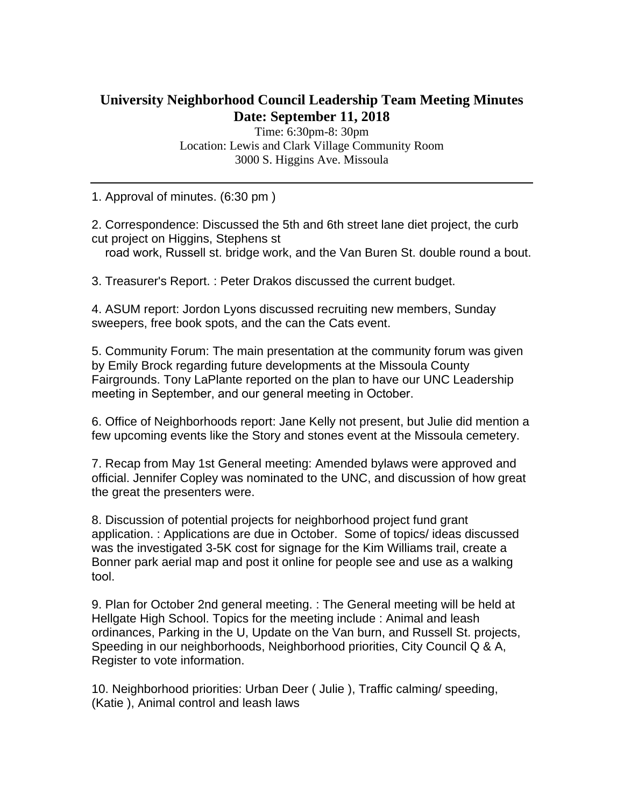## **University Neighborhood Council Leadership Team Meeting Minutes Date: September 11, 2018**

Time: 6:30pm-8: 30pm Location: Lewis and Clark Village Community Room 3000 S. Higgins Ave. Missoula

1. Approval of minutes. (6:30 pm )

2. Correspondence: Discussed the 5th and 6th street lane diet project, the curb cut project on Higgins, Stephens st

road work, Russell st. bridge work, and the Van Buren St. double round a bout.

3. Treasurer's Report. : Peter Drakos discussed the current budget.

4. ASUM report: Jordon Lyons discussed recruiting new members, Sunday sweepers, free book spots, and the can the Cats event.

5. Community Forum: The main presentation at the community forum was given by Emily Brock regarding future developments at the Missoula County Fairgrounds. Tony LaPlante reported on the plan to have our UNC Leadership meeting in September, and our general meeting in October.

6. Office of Neighborhoods report: Jane Kelly not present, but Julie did mention a few upcoming events like the Story and stones event at the Missoula cemetery.

7. Recap from May 1st General meeting: Amended bylaws were approved and official. Jennifer Copley was nominated to the UNC, and discussion of how great the great the presenters were.

8. Discussion of potential projects for neighborhood project fund grant application. : Applications are due in October. Some of topics/ ideas discussed was the investigated 3-5K cost for signage for the Kim Williams trail, create a Bonner park aerial map and post it online for people see and use as a walking tool.

9. Plan for October 2nd general meeting. : The General meeting will be held at Hellgate High School. Topics for the meeting include : Animal and leash ordinances, Parking in the U, Update on the Van burn, and Russell St. projects, Speeding in our neighborhoods, Neighborhood priorities, City Council Q & A, Register to vote information.

10. Neighborhood priorities: Urban Deer ( Julie ), Traffic calming/ speeding, (Katie ), Animal control and leash laws